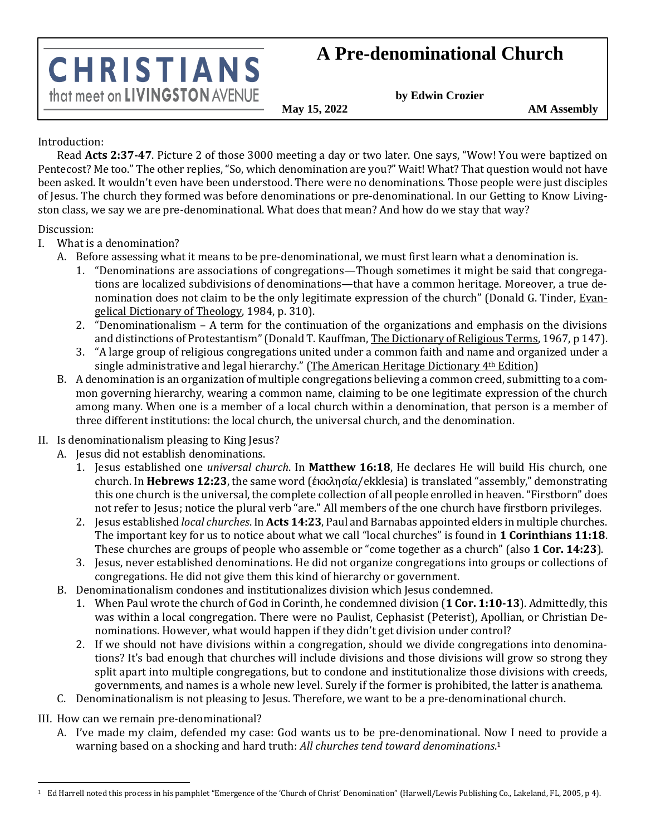## **A Pre-denominational Church**

**CHRISTIANS** that meet on LIVINGSTON AVENUE

**by Edwin Crozier**

**May 15, 2022 AM Assembly**

## Introduction:

Read **Acts 2:37-47**. Picture 2 of those 3000 meeting a day or two later. One says, "Wow! You were baptized on Pentecost? Me too." The other replies, "So, which denomination are you?" Wait! What? That question would not have been asked. It wouldn't even have been understood. There were no denominations. Those people were just disciples of Jesus. The church they formed was before denominations or pre-denominational. In our Getting to Know Livingston class, we say we are pre-denominational. What does that mean? And how do we stay that way?

Discussion:

I. What is a denomination?

- A. Before assessing what it means to be pre-denominational, we must first learn what a denomination is.
	- 1. "Denominations are associations of congregations—Though sometimes it might be said that congregations are localized subdivisions of denominations—that have a common heritage. Moreover, a true denomination does not claim to be the only legitimate expression of the church" (Donald G. Tinder, Evangelical Dictionary of Theology, 1984, p. 310).
	- 2. "Denominationalism A term for the continuation of the organizations and emphasis on the divisions and distinctions of Protestantism" (Donald T. Kauffman, The Dictionary of Religious Terms, 1967, p 147).
	- 3. "A large group of religious congregations united under a common faith and name and organized under a single administrative and legal hierarchy." (The American Heritage Dictionary 4<sup>th</sup> Edition)
- B. A denomination is an organization of multiple congregations believing a common creed, submitting to a common governing hierarchy, wearing a common name, claiming to be one legitimate expression of the church among many. When one is a member of a local church within a denomination, that person is a member of three different institutions: the local church, the universal church, and the denomination.
- II. Is denominationalism pleasing to King Jesus?
	- A. Jesus did not establish denominations.
		- 1. Jesus established one *universal church*. In **Matthew 16:18**, He declares He will build His church, one church. In **Hebrews 12:23**, the same word (ἐκκλησία/ekklesia) is translated "assembly," demonstrating this one church is the universal, the complete collection of all people enrolled in heaven. "Firstborn" does not refer to Jesus; notice the plural verb "are." All members of the one church have firstborn privileges.
		- 2. Jesus established *local churches*. In **Acts 14:23**, Paul and Barnabas appointed elders in multiple churches. The important key for us to notice about what we call "local churches" is found in **1 Corinthians 11:18**. These churches are groups of people who assemble or "come together as a church" (also **1 Cor. 14:23**).
		- 3. Jesus, never established denominations. He did not organize congregations into groups or collections of congregations. He did not give them this kind of hierarchy or government.
	- B. Denominationalism condones and institutionalizes division which Jesus condemned.
		- 1. When Paul wrote the church of God in Corinth, he condemned division (**1 Cor. 1:10-13**). Admittedly, this was within a local congregation. There were no Paulist, Cephasist (Peterist), Apollian, or Christian Denominations. However, what would happen if they didn't get division under control?
		- 2. If we should not have divisions within a congregation, should we divide congregations into denominations? It's bad enough that churches will include divisions and those divisions will grow so strong they split apart into multiple congregations, but to condone and institutionalize those divisions with creeds, governments, and names is a whole new level. Surely if the former is prohibited, the latter is anathema.
	- C. Denominationalism is not pleasing to Jesus. Therefore, we want to be a pre-denominational church.

III. How can we remain pre-denominational?

A. I've made my claim, defended my case: God wants us to be pre-denominational. Now I need to provide a warning based on a shocking and hard truth: *All churches tend toward denominations*. 1

<sup>&</sup>lt;sup>1</sup> Ed Harrell noted this process in his pamphlet "Emergence of the 'Church of Christ' Denomination" (Harwell/Lewis Publishing Co., Lakeland, FL, 2005, p 4).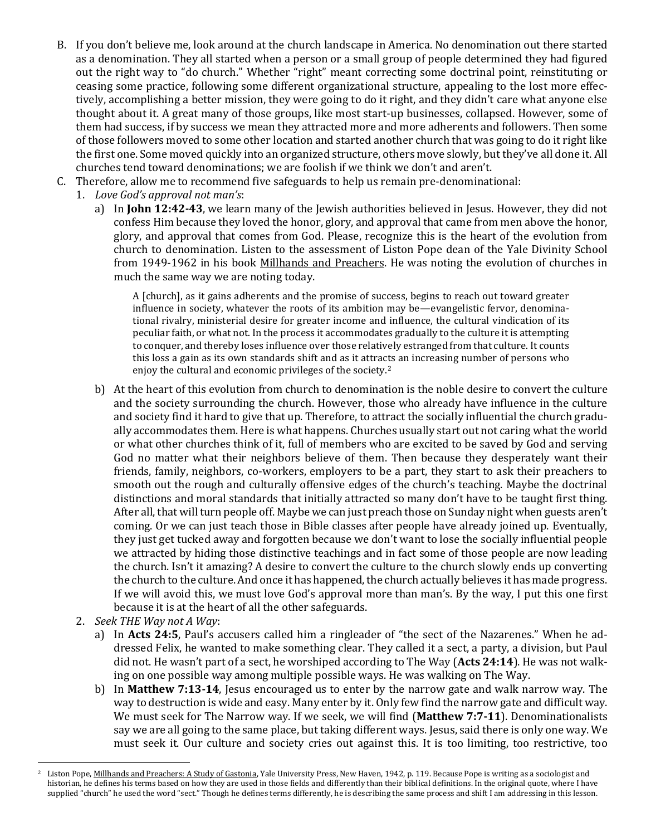- B. If you don't believe me, look around at the church landscape in America. No denomination out there started as a denomination. They all started when a person or a small group of people determined they had figured out the right way to "do church." Whether "right" meant correcting some doctrinal point, reinstituting or ceasing some practice, following some different organizational structure, appealing to the lost more effectively, accomplishing a better mission, they were going to do it right, and they didn't care what anyone else thought about it. A great many of those groups, like most start-up businesses, collapsed. However, some of them had success, if by success we mean they attracted more and more adherents and followers. Then some of those followers moved to some other location and started another church that was going to do it right like the first one. Some moved quickly into an organized structure, others move slowly, but they've all done it. All churches tend toward denominations; we are foolish if we think we don't and aren't.
- C. Therefore, allow me to recommend five safeguards to help us remain pre-denominational:
	- 1. *Love God's approval not man's*:
		- a) In **John 12:42-43**, we learn many of the Jewish authorities believed in Jesus. However, they did not confess Him because they loved the honor, glory, and approval that came from men above the honor, glory, and approval that comes from God. Please, recognize this is the heart of the evolution from church to denomination. Listen to the assessment of Liston Pope dean of the Yale Divinity School from 1949-1962 in his book Millhands and Preachers. He was noting the evolution of churches in much the same way we are noting today.

A [church], as it gains adherents and the promise of success, begins to reach out toward greater influence in society, whatever the roots of its ambition may be—evangelistic fervor, denominational rivalry, ministerial desire for greater income and influence, the cultural vindication of its peculiar faith, or what not. In the process it accommodates gradually to the culture it is attempting to conquer, and thereby loses influence over those relatively estranged from that culture. It counts this loss a gain as its own standards shift and as it attracts an increasing number of persons who enjoy the cultural and economic privileges of the society.<sup>2</sup>

- b) At the heart of this evolution from church to denomination is the noble desire to convert the culture and the society surrounding the church. However, those who already have influence in the culture and society find it hard to give that up. Therefore, to attract the socially influential the church gradually accommodates them. Here is what happens. Churches usually start out not caring what the world or what other churches think of it, full of members who are excited to be saved by God and serving God no matter what their neighbors believe of them. Then because they desperately want their friends, family, neighbors, co-workers, employers to be a part, they start to ask their preachers to smooth out the rough and culturally offensive edges of the church's teaching. Maybe the doctrinal distinctions and moral standards that initially attracted so many don't have to be taught first thing. After all, that will turn people off. Maybe we can just preach those on Sunday night when guests aren't coming. Or we can just teach those in Bible classes after people have already joined up. Eventually, they just get tucked away and forgotten because we don't want to lose the socially influential people we attracted by hiding those distinctive teachings and in fact some of those people are now leading the church. Isn't it amazing? A desire to convert the culture to the church slowly ends up converting the church to the culture. And once it has happened, the church actually believes it has made progress. If we will avoid this, we must love God's approval more than man's. By the way, I put this one first because it is at the heart of all the other safeguards.
- 2. *Seek THE Way not A Way*:
	- a) In **Acts 24:5**, Paul's accusers called him a ringleader of "the sect of the Nazarenes." When he addressed Felix, he wanted to make something clear. They called it a sect, a party, a division, but Paul did not. He wasn't part of a sect, he worshiped according to The Way (**Acts 24:14**). He was not walking on one possible way among multiple possible ways. He was walking on The Way.
	- b) In **Matthew 7:13-14**, Jesus encouraged us to enter by the narrow gate and walk narrow way. The way to destruction is wide and easy. Many enter by it. Only few find the narrow gate and difficult way. We must seek for The Narrow way. If we seek, we will find (**Matthew 7:7-11**). Denominationalists say we are all going to the same place, but taking different ways. Jesus, said there is only one way. We must seek it. Our culture and society cries out against this. It is too limiting, too restrictive, too

Liston Pope, Millhands and Preachers: A Study of Gastonia, Yale University Press, New Haven, 1942, p. 119. Because Pope is writing as a sociologist and historian, he defines his terms based on how they are used in those fields and differently than their biblical definitions. In the original quote, where I have supplied "church" he used the word "sect." Though he defines terms differently, he is describing the same process and shift I am addressing in this lesson.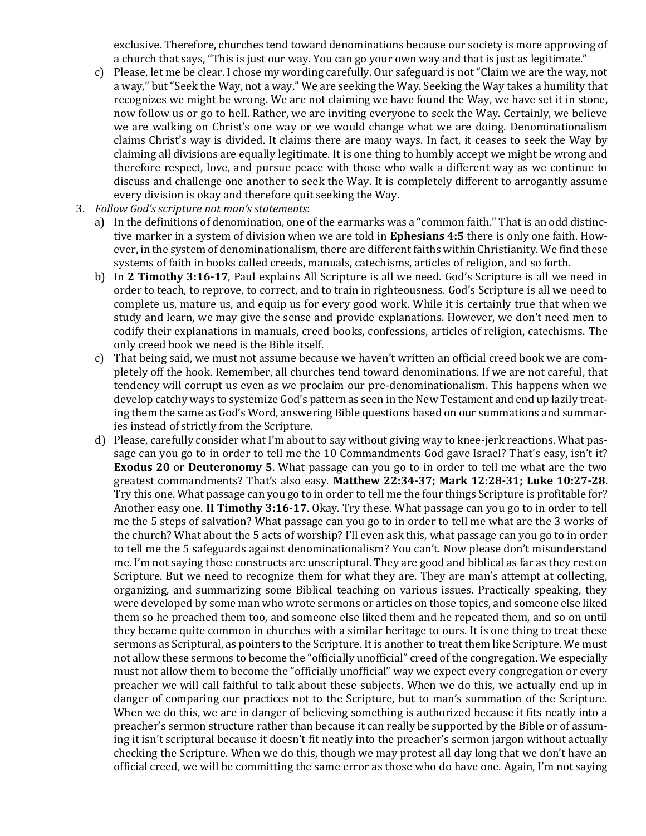exclusive. Therefore, churches tend toward denominations because our society is more approving of a church that says, "This is just our way. You can go your own way and that is just as legitimate."

- c) Please, let me be clear. I chose my wording carefully. Our safeguard is not "Claim we are the way, not a way," but "Seek the Way, not a way." We are seeking the Way. Seeking the Way takes a humility that recognizes we might be wrong. We are not claiming we have found the Way, we have set it in stone, now follow us or go to hell. Rather, we are inviting everyone to seek the Way. Certainly, we believe we are walking on Christ's one way or we would change what we are doing. Denominationalism claims Christ's way is divided. It claims there are many ways. In fact, it ceases to seek the Way by claiming all divisions are equally legitimate. It is one thing to humbly accept we might be wrong and therefore respect, love, and pursue peace with those who walk a different way as we continue to discuss and challenge one another to seek the Way. It is completely different to arrogantly assume every division is okay and therefore quit seeking the Way.
- 3. *Follow God's scripture not man's statements*:
	- a) In the definitions of denomination, one of the earmarks was a "common faith." That is an odd distinctive marker in a system of division when we are told in **Ephesians 4:5** there is only one faith. However, in the system of denominationalism, there are different faiths within Christianity. We find these systems of faith in books called creeds, manuals, catechisms, articles of religion, and so forth.
	- b) In **2 Timothy 3:16-17**, Paul explains All Scripture is all we need. God's Scripture is all we need in order to teach, to reprove, to correct, and to train in righteousness. God's Scripture is all we need to complete us, mature us, and equip us for every good work. While it is certainly true that when we study and learn, we may give the sense and provide explanations. However, we don't need men to codify their explanations in manuals, creed books, confessions, articles of religion, catechisms. The only creed book we need is the Bible itself.
	- c) That being said, we must not assume because we haven't written an official creed book we are completely off the hook. Remember, all churches tend toward denominations. If we are not careful, that tendency will corrupt us even as we proclaim our pre-denominationalism. This happens when we develop catchy ways to systemize God's pattern as seen in the New Testament and end up lazily treating them the same as God's Word, answering Bible questions based on our summations and summaries instead of strictly from the Scripture.
	- d) Please, carefully consider what I'm about to say without giving way to knee-jerk reactions. What passage can you go to in order to tell me the 10 Commandments God gave Israel? That's easy, isn't it? **Exodus 20** or **Deuteronomy 5**. What passage can you go to in order to tell me what are the two greatest commandments? That's also easy. **Matthew 22:34-37; Mark 12:28-31; Luke 10:27-28**. Try this one. What passage can you go to in order to tell me the four things Scripture is profitable for? Another easy one. **II Timothy 3:16-17**. Okay. Try these. What passage can you go to in order to tell me the 5 steps of salvation? What passage can you go to in order to tell me what are the 3 works of the church? What about the 5 acts of worship? I'll even ask this, what passage can you go to in order to tell me the 5 safeguards against denominationalism? You can't. Now please don't misunderstand me. I'm not saying those constructs are unscriptural. They are good and biblical as far as they rest on Scripture. But we need to recognize them for what they are. They are man's attempt at collecting, organizing, and summarizing some Biblical teaching on various issues. Practically speaking, they were developed by some man who wrote sermons or articles on those topics, and someone else liked them so he preached them too, and someone else liked them and he repeated them, and so on until they became quite common in churches with a similar heritage to ours. It is one thing to treat these sermons as Scriptural, as pointers to the Scripture. It is another to treat them like Scripture. We must not allow these sermons to become the "officially unofficial" creed of the congregation. We especially must not allow them to become the "officially unofficial" way we expect every congregation or every preacher we will call faithful to talk about these subjects. When we do this, we actually end up in danger of comparing our practices not to the Scripture, but to man's summation of the Scripture. When we do this, we are in danger of believing something is authorized because it fits neatly into a preacher's sermon structure rather than because it can really be supported by the Bible or of assuming it isn't scriptural because it doesn't fit neatly into the preacher's sermon jargon without actually checking the Scripture. When we do this, though we may protest all day long that we don't have an official creed, we will be committing the same error as those who do have one. Again, I'm not saying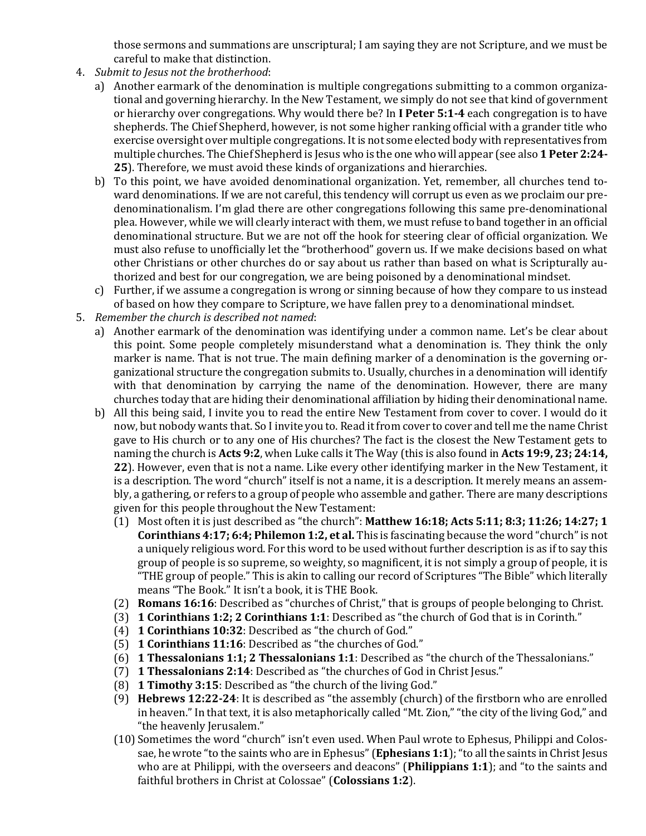those sermons and summations are unscriptural; I am saying they are not Scripture, and we must be careful to make that distinction.

- 4. *Submit to Jesus not the brotherhood*:
	- a) Another earmark of the denomination is multiple congregations submitting to a common organizational and governing hierarchy. In the New Testament, we simply do not see that kind of government or hierarchy over congregations. Why would there be? In **I Peter 5:1-4** each congregation is to have shepherds. The Chief Shepherd, however, is not some higher ranking official with a grander title who exercise oversight over multiple congregations. It is not some elected body with representatives from multiple churches. The Chief Shepherd is Jesus who is the one who will appear (see also **1 Peter 2:24- 25**). Therefore, we must avoid these kinds of organizations and hierarchies.
	- b) To this point, we have avoided denominational organization. Yet, remember, all churches tend toward denominations. If we are not careful, this tendency will corrupt us even as we proclaim our predenominationalism. I'm glad there are other congregations following this same pre-denominational plea. However, while we will clearly interact with them, we must refuse to band together in an official denominational structure. But we are not off the hook for steering clear of official organization. We must also refuse to unofficially let the "brotherhood" govern us. If we make decisions based on what other Christians or other churches do or say about us rather than based on what is Scripturally authorized and best for our congregation, we are being poisoned by a denominational mindset.
	- c) Further, if we assume a congregation is wrong or sinning because of how they compare to us instead of based on how they compare to Scripture, we have fallen prey to a denominational mindset.
- 5. *Remember the church is described not named*:
	- a) Another earmark of the denomination was identifying under a common name. Let's be clear about this point. Some people completely misunderstand what a denomination is. They think the only marker is name. That is not true. The main defining marker of a denomination is the governing organizational structure the congregation submits to. Usually, churches in a denomination will identify with that denomination by carrying the name of the denomination. However, there are many churches today that are hiding their denominational affiliation by hiding their denominational name.
	- b) All this being said, I invite you to read the entire New Testament from cover to cover. I would do it now, but nobody wants that. So I invite you to. Read it from cover to cover and tell me the name Christ gave to His church or to any one of His churches? The fact is the closest the New Testament gets to naming the church is **Acts 9:2**, when Luke calls it The Way (this is also found in **Acts 19:9, 23; 24:14, 22**). However, even that is not a name. Like every other identifying marker in the New Testament, it is a description. The word "church" itself is not a name, it is a description. It merely means an assembly, a gathering, or refers to a group of people who assemble and gather. There are many descriptions given for this people throughout the New Testament:
		- (1) Most often it is just described as "the church": **Matthew 16:18; Acts 5:11; 8:3; 11:26; 14:27; 1 Corinthians 4:17; 6:4; Philemon 1:2, et al.** This is fascinating because the word "church" is not a uniquely religious word. For this word to be used without further description is as if to say this group of people is so supreme, so weighty, so magnificent, it is not simply a group of people, it is "THE group of people." This is akin to calling our record of Scriptures "The Bible" which literally means "The Book." It isn't a book, it is THE Book.
		- (2) **Romans 16:16**: Described as "churches of Christ," that is groups of people belonging to Christ.
		- (3) **1 Corinthians 1:2; 2 Corinthians 1:1**: Described as "the church of God that is in Corinth."
		- (4) **1 Corinthians 10:32**: Described as "the church of God."
		- (5) **1 Corinthians 11:16**: Described as "the churches of God."
		- (6) **1 Thessalonians 1:1; 2 Thessalonians 1:1**: Described as "the church of the Thessalonians."
		- (7) **1 Thessalonians 2:14**: Described as "the churches of God in Christ Jesus."
		- (8) **1 Timothy 3:15**: Described as "the church of the living God."
		- (9) **Hebrews 12:22-24**: It is described as "the assembly (church) of the firstborn who are enrolled in heaven." In that text, it is also metaphorically called "Mt. Zion," "the city of the living God," and "the heavenly Jerusalem."
		- (10) Sometimes the word "church" isn't even used. When Paul wrote to Ephesus, Philippi and Colossae, he wrote "to the saints who are in Ephesus" (**Ephesians 1:1**); "to all the saints in Christ Jesus who are at Philippi, with the overseers and deacons" (**Philippians 1:1**); and "to the saints and faithful brothers in Christ at Colossae" (**Colossians 1:2**).